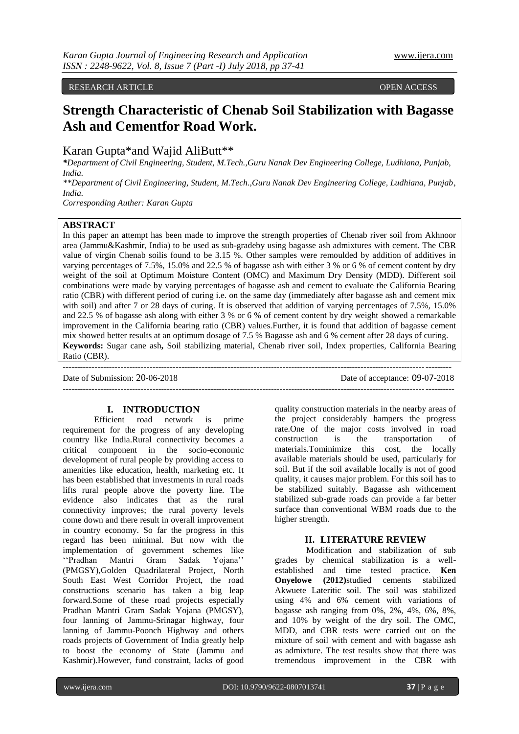RESEARCH ARTICLE **CONSERVERS** OPEN ACCESS

# **Strength Characteristic of Chenab Soil Stabilization with Bagasse Ash and Cementfor Road Work.**

Karan Gupta\*and Wajid AliButt\*\*

*\*Department of Civil Engineering, Student, M.Tech.,Guru Nanak Dev Engineering College, Ludhiana, Punjab, India.*

*\*\*Department of Civil Engineering, Student, M.Tech.,Guru Nanak Dev Engineering College, Ludhiana, Punjab, India.*

*Corresponding Auther: Karan Gupta*

# **ABSTRACT**

In this paper an attempt has been made to improve the strength properties of Chenab river soil from Akhnoor area (Jammu&Kashmir, India) to be used as sub-gradeby using bagasse ash admixtures with cement. The CBR value of virgin Chenab soilis found to be 3.15 %. Other samples were remoulded by addition of additives in varying percentages of 7.5%, 15.0% and 22.5 % of bagasse ash with either 3 % or 6 % of cement content by dry weight of the soil at Optimum Moisture Content (OMC) and Maximum Dry Density (MDD). Different soil combinations were made by varying percentages of bagasse ash and cement to evaluate the California Bearing ratio (CBR) with different period of curing i.e. on the same day (immediately after bagasse ash and cement mix with soil) and after 7 or 28 days of curing. It is observed that addition of varying percentages of 7.5%, 15.0% and 22.5 % of bagasse ash along with either 3 % or 6 % of cement content by dry weight showed a remarkable improvement in the California bearing ratio (CBR) values.Further, it is found that addition of bagasse cement mix showed better results at an optimum dosage of 7.5 % Bagasse ash and 6 % cement after 28 days of curing. **Keywords:** Sugar cane ash**,** Soil stabilizing material, Chenab river soil, Index properties, California Bearing Ratio (CBR).

--------------------------------------------------------------------------------------------------------------------------------------

 $-1-\frac{1}{2}$ 

Date of Submission: 20-06-2018 Date of acceptance: 09-07-2018

# **I. INTRODUCTION**

Efficient road network is prime requirement for the progress of any developing country like India.Rural connectivity becomes a critical component in the socio-economic development of rural people by providing access to amenities like education, health, marketing etc. It has been established that investments in rural roads lifts rural people above the poverty line. The evidence also indicates that as the rural connectivity improves; the rural poverty levels come down and there result in overall improvement in country economy. So far the progress in this regard has been minimal. But now with the implementation of government schemes like ""Pradhan Mantri Gram Sadak Yojana"" (PMGSY),Golden Quadrilateral Project, North South East West Corridor Project, the road constructions scenario has taken a big leap forward.Some of these road projects especially Pradhan Mantri Gram Sadak Yojana (PMGSY), four lanning of Jammu-Srinagar highway, four lanning of Jammu-Poonch Highway and others roads projects of Government of India greatly help to boost the economy of State (Jammu and Kashmir).However, fund constraint, lacks of good

quality construction materials in the nearby areas of the project considerably hampers the progress rate.One of the major costs involved in road construction is the transportation of materials.Tominimize this cost, the locally available materials should be used, particularly for soil. But if the soil available locally is not of good quality, it causes major problem. For this soil has to be stabilized suitably. Bagasse ash withcement stabilized sub-grade roads can provide a far better surface than conventional WBM roads due to the higher strength.

# **II. LITERATURE REVIEW**

Modification and stabilization of sub grades by chemical stabilization is a wellestablished and time tested practice. **Ken Onyelowe (2012)**studied cements stabilized Akwuete Lateritic soil. The soil was stabilized using 4% and 6% cement with variations of bagasse ash ranging from 0%, 2%, 4%, 6%, 8%, and 10% by weight of the dry soil. The OMC, MDD, and CBR tests were carried out on the mixture of soil with cement and with bagasse ash as admixture. The test results show that there was tremendous improvement in the CBR with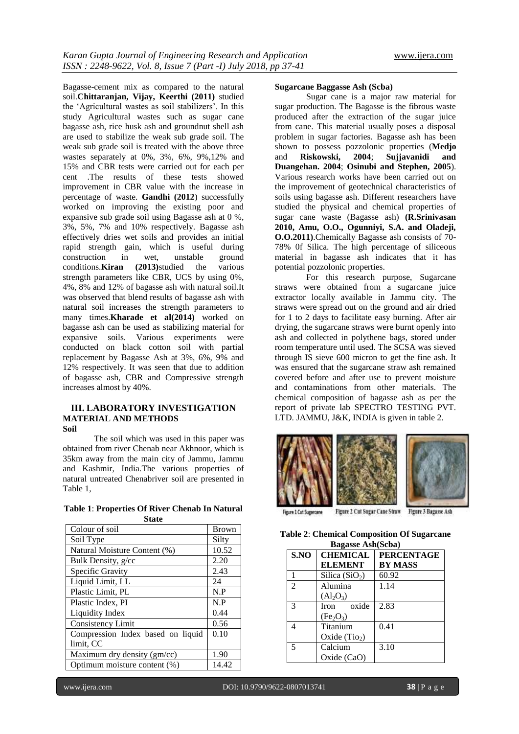Bagasse-cement mix as compared to the natural soil.**Chittaranjan, Vijay, Keerthi (2011)** studied the "Agricultural wastes as soil stabilizers". In this study Agricultural wastes such as sugar cane bagasse ash, rice husk ash and groundnut shell ash are used to stabilize the weak sub grade soil. The weak sub grade soil is treated with the above three wastes separately at 0%, 3%, 6%, 9%,12% and 15% and CBR tests were carried out for each per cent .The results of these tests showed improvement in CBR value with the increase in percentage of waste. **Gandhi (2012**) successfully worked on improving the existing poor and expansive sub grade soil using Bagasse ash at 0 %, 3%, 5%, 7% and 10% respectively. Bagasse ash effectively dries wet soils and provides an initial rapid strength gain, which is useful during construction in wet, unstable ground conditions.**Kiran (2013)**studied the various strength parameters like CBR, UCS by using 0%, 4%, 8% and 12% of bagasse ash with natural soil.It was observed that blend results of bagasse ash with natural soil increases the strength parameters to many times.**Kharade et al(2014)** worked on bagasse ash can be used as stabilizing material for expansive soils. Various experiments were conducted on black cotton soil with partial replacement by Bagasse Ash at 3%, 6%, 9% and 12% respectively. It was seen that due to addition of bagasse ash, CBR and Compressive strength increases almost by 40%.

## **III. LABORATORY INVESTIGATION MATERIAL AND METHODS Soil**

The soil which was used in this paper was obtained from river Chenab near Akhnoor, which is 35km away from the main city of Jammu, Jammu and Kashmir, India.The various properties of natural untreated Chenabriver soil are presented in Table 1,

| Table 1: Properties Of River Chenab In Natural |  |
|------------------------------------------------|--|
| <b>State</b>                                   |  |

| Colour of soil                    | <b>Brown</b> |
|-----------------------------------|--------------|
| Soil Type                         | Silty        |
| Natural Moisture Content (%)      | 10.52        |
| Bulk Density, g/cc                | 2.20         |
| Specific Gravity                  | 2.43         |
| Liquid Limit, LL                  | 24           |
| Plastic Limit, PL                 | N.P          |
| Plastic Index, PI                 | N.P          |
| Liquidity Index                   | 0.44         |
| Consistency Limit                 | 0.56         |
| Compression Index based on liquid | 0.10         |
| limit, CC                         |              |
| Maximum dry density (gm/cc)       | 1.90         |
| Optimum moisture content (%)      | 14.42        |

#### **Sugarcane Baggasse Ash (Scba)**

Sugar cane is a major raw material for sugar production. The Bagasse is the fibrous waste produced after the extraction of the sugar juice from cane. This material usually poses a disposal problem in sugar factories. Bagasse ash has been shown to possess pozzolonic properties (**Medjo** and **Riskowski, 2004**; **Sujjavanidi and Duangehan. 2004**; **Osinubi and Stephen, 2005**). Various research works have been carried out on the improvement of geotechnical characteristics of soils using bagasse ash. Different researchers have studied the physical and chemical properties of sugar cane waste (Bagasse ash) **(R.Srinivasan 2010, Amu, O.O., Ogunniyi, S.A. and Oladeji, O.O.2011)**.Chemically Bagasse ash consists of 70- 78% 0f Silica. The high percentage of siliceous material in bagasse ash indicates that it has potential pozzolonic properties.

For this research purpose, Sugarcane straws were obtained from a sugarcane juice extractor locally available in Jammu city. The straws were spread out on the ground and air dried for 1 to 2 days to facilitate easy burning. After air drying, the sugarcane straws were burnt openly into ash and collected in polythene bags, stored under room temperature until used. The SCSA was sieved through IS sieve 600 micron to get the fine ash. It was ensured that the sugarcane straw ash remained covered before and after use to prevent moisture and contaminations from other materials. The chemical composition of bagasse ash as per the report of private lab SPECTRO TESTING PVT. LTD. JAMMU, J&K, INDIA is given in table 2.



Figure 1 Cut Sugarcane

| <b>Table 2: Chemical Composition Of Sugarcane</b> |
|---------------------------------------------------|
| <b>Bagasse Ash</b> (Scba)                         |

| S.NO           | <b>CHEMICAL</b>                   | <b>PERCENTAGE</b> |
|----------------|-----------------------------------|-------------------|
|                | <b>ELEMENT</b>                    | <b>BY MASS</b>    |
|                | Silica $(SiO2)$                   | 60.92             |
| $\overline{2}$ | Alumina                           | 1.14              |
|                | $(Al_2O_3)$                       |                   |
| 3              | oxide<br>Iron                     | 2.83              |
|                | (Fe <sub>2</sub> O <sub>3</sub> ) |                   |
| 4              | Titanium                          | 0.41              |
|                | Oxide $(Tio2)$                    |                   |
| 5              | Calcium                           | 3.10              |
|                | Oxide $(CaO)$                     |                   |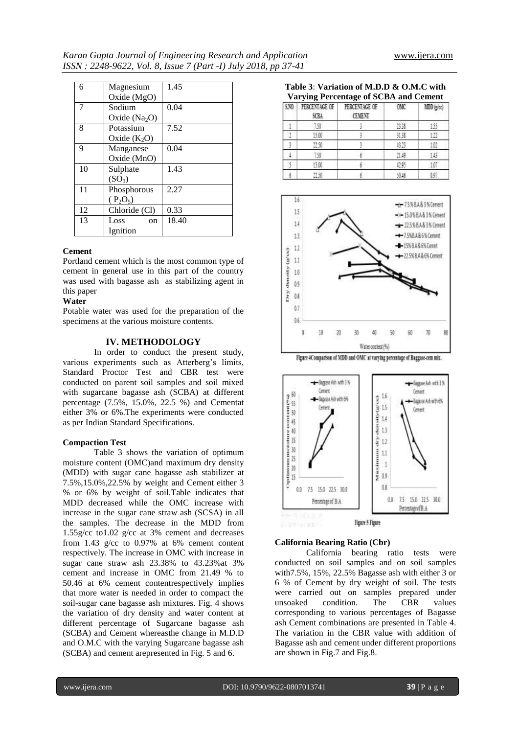| 6  | Magnesium          | 1.45  |
|----|--------------------|-------|
|    | Oxide (MgO)        |       |
| 7  | Sodium             | 0.04  |
|    | Oxide $(Na2O)$     |       |
| 8  | Potassium          | 7.52  |
|    | Oxide $(K_2O)$     |       |
| 9  | Manganese          | 0.04  |
|    | Oxide (MnO)        |       |
| 10 | Sulphate           | 1.43  |
|    | (SO <sub>3</sub> ) |       |
| 11 | Phosphorous        | 2.27  |
|    | $(P_2O_5)$         |       |
| 12 | Chloride (Cl)      | 0.33  |
| 13 | Loss<br>on         | 18.40 |
|    | Ignition           |       |

### **Cement**

Portland cement which is the most common type of cement in general use in this part of the country was used with bagasse ash as stabilizing agent in this paper

## **Water**

Potable water was used for the preparation of the specimens at the various moisture contents.

### **IV. METHODOLOGY**

In order to conduct the present study, various experiments such as Atterberg's limits, Standard Proctor Test and CBR test were conducted on parent soil samples and soil mixed with sugarcane bagasse ash (SCBA) at different percentage (7.5%, 15.0%, 22.5 %) and Cementat either 3% or 6%.The experiments were conducted as per Indian Standard Specifications.

### **Compaction Test**

Table 3 shows the variation of optimum moisture content (OMC)and maximum dry density (MDD) with sugar cane bagasse ash stabilizer at 7.5%,15.0%,22.5% by weight and Cement either 3 % or 6% by weight of soil.Table indicates that MDD decreased while the OMC increase with increase in the sugar cane straw ash (SCSA) in all the samples. The decrease in the MDD from 1.55g/cc to1.02 g/cc at 3% cement and decreases from 1.43 g/cc to 0.97% at 6% cement content respectively. The increase in OMC with increase in sugar cane straw ash 23.38% to 43.23%at 3% cement and increase in OMC from 21.49 % to 50.46 at 6% cement contentrespectively implies that more water is needed in order to compact the soil-sugar cane bagasse ash mixtures. Fig. 4 shows the variation of dry density and water content at different percentage of Sugarcane bagasse ash (SCBA) and Cement whereasthe change in M.D.D and O.M.C with the varying Sugarcane bagasse ash (SCBA) and cement arepresented in Fig. 5 and 6.

| Table 3: Variation of M.D.D & O.M.C with     |  |
|----------------------------------------------|--|
| <b>Varying Percentage of SCBA and Cement</b> |  |

| 530 | PERCENTAGE OF<br>SCBA | PERCENTAGE OF<br><b>CEMENT</b> | <b>OMC</b> | MDD (g/cc) |
|-----|-----------------------|--------------------------------|------------|------------|
|     | 150                   |                                | 2338       | 155        |
|     | 15.00                 |                                | 刘菲         |            |
|     | 22.50                 |                                | 43.23      |            |
|     | -90                   |                                | 31.49      |            |
|     | 5.00                  |                                |            |            |
|     |                       |                                |            |            |



Figure 4Comparison of MDD and OMC at varying percentage of Baggase-cem mix.



#### **California Bearing Ratio (Cbr)**

California bearing ratio tests were conducted on soil samples and on soil samples with7.5%, 15%, 22.5% Bagasse ash with either 3 or 6 % of Cement by dry weight of soil. The tests were carried out on samples prepared under unsoaked condition. The CBR values corresponding to various percentages of Bagasse ash Cement combinations are presented in Table 4. The variation in the CBR value with addition of Bagasse ash and cement under different proportions are shown in Fig.7 and Fig.8.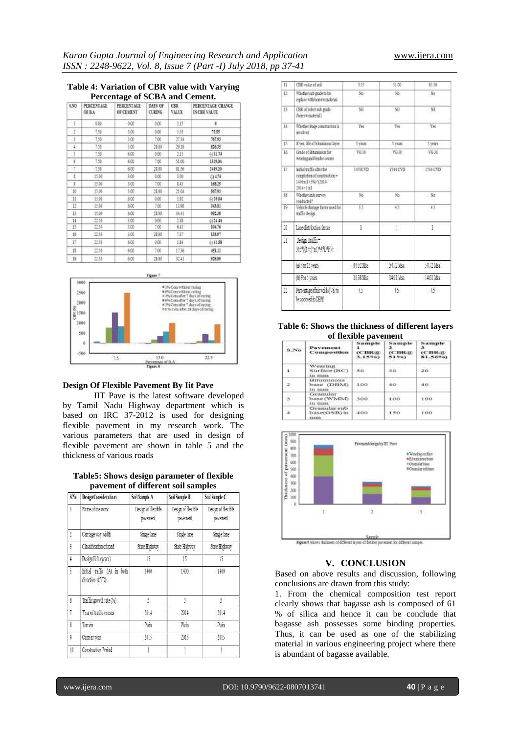#### **Table 4: Variation of CBR value with Varying Percentage of SCBA and Cement.**

| 5,50 | PERCENTAGE<br>OF B.A. | <b>PERCENTAGE</b><br>OF CEMENT | DAYS OF<br><b>CURING</b> | CBR.<br>VALUE | PERCENTAGE CHANGE<br>INCRR VALUE |
|------|-----------------------|--------------------------------|--------------------------|---------------|----------------------------------|
| 1    | 159                   | 0.00                           | 0.00                     | 115           | ű                                |
|      | 1.58                  | 3.00                           | 0.00                     | 进             | 15.55                            |
| 3    | 150                   | 3.00                           | 7.00                     | 2734          | 167.93                           |
| 1    | 158                   | 1.00                           | 28.00                    | 29.18         | 826.35                           |
| 3    | 139                   | 6.00                           | 0.00                     | 2.15          | 431.74                           |
| ı    | 150                   | 6.00                           | 7.00                     | 51.00         | 1519.04                          |
| 示    | -7.58                 | 600                            | 28.00                    | 肌牙            | 1489.20                          |
| 1    | 日益                    | 100                            | 0.00                     | 3.00          | (44.76)                          |
| ï    | 15.06                 | 3.00                           | 7.00                     | 245           | 168.25                           |
| 10   | ΗW                    | 3.00                           | 28.00                    | 21.04         | 867.93                           |
| :11  | 15.06                 | 6.00                           | 0.00                     | 191           | (139.04                          |
| 12   | 迁居                    | 6.00                           | 7.00                     | 11.98         | 34331                            |
| 13   | 11.00                 | 600                            | 31.00                    | 34.41         | 992.38                           |
| 14   | 红绿                    | 5.00                           | 0.00                     | 138           | 0.34.44                          |
| 13   | 世発                    | 3.00                           | 7,00                     | 643           | 104.76                           |
| 36   | 22.56                 | 1.00                           | 20.00                    | 737           | 133.97                           |
| 17   | 11.10                 | 6.00                           | 0.00                     | 184           | (141.58)                         |
| 18   | 13.50                 | 6.00                           | 7,00                     | 17.36.        | 451.11                           |
| 19   | 出址                    | 6.00                           | 28.00                    | 边址            | 126.89                           |



## **Design Of Flexible Pavement By Iit Pave**

IIT Pave is the latest software developed by Tamil Nadu Highway department which is based on IRC 37-2012 is used for designing flexible pavement in my research work. The various parameters that are used in design of flexible pavement are shown in table 5 and the thickness of various roads

## **Table5: Shows design parameter of flexible pavement of different soil samples**

| SN:        | Design Considerations                        | Soil Sample A                  | Soil Sample B                 | Soil Sumple C                  |
|------------|----------------------------------------------|--------------------------------|-------------------------------|--------------------------------|
|            | Name of the work                             | Design of flexible<br>pavement | Design of flexible<br>pasment | Design of flexible<br>pavenent |
|            | Carriage way width                           | Single lane                    | Single lane                   | Sinde lane                     |
| ï          | Classification of road                       | State Highway                  | State Highway                 | State Highway                  |
| $\ddagger$ | Design Life (years)                          | B                              | 15                            | 35                             |
| ĩ          | latial traffic (A) in both<br>duection (CVD) | 140                            | 100                           | 1柳                             |
| £          | Traffic goveth rate (%)                      | 5.                             | £.                            | š.                             |
| Ţ          | Year of traffic census                       | 314                            | 测丰                            | 服                              |
| š          | Terrain                                      | Phin                           | Fain                          | 陆                              |
| ş          | Coment year                                  | 315                            | 額                             | 385                            |
| 11         | Canstruction Period                          |                                |                               |                                |

| 11           | CBR value of sell                                                                               | 3.35     | \$1.00    | 81.16          |
|--------------|-------------------------------------------------------------------------------------------------|----------|-----------|----------------|
| Ω            | Whether sub grade to be<br>seplace with bourn material                                          | No.      | No:       | $-84$          |
| 迂            | CHR of select sub grade<br>diomen material)                                                     | Sil      | Nil       | NL             |
| $14 -$       | Whether Stage construction in<br>bodysk                                                         | Yes      | Yes       | Yes            |
| 廿            | If yes, life of bituninous layer                                                                | 5 years  | 5 years   | 5 years        |
| 16           | Grade of Riturnings as for<br>wearing and binder course                                         | VO 30    | VG 30     | 1038           |
| $17^{-1}$    | letted traffic after the<br>completion of construction =<br>1400s(1+5%)*(2014)<br>$2014 - 1 x $ | 1470CVD  | 1144 CVD  | 194 CVD        |
| 18           | Whether ande survey.<br>conducted?                                                              | yo.      | No.       | $N_0$          |
| $ 9\rangle$  | Vehicle damage factor ased for<br>traffic design                                                | 13       | 45        | 43             |
| N            | Lane distribution factor                                                                        | ĺ        | İ         | 1              |
| N.           | Design Traffic=<br>36% L+c Yol MAPD Fire                                                        |          |           |                |
|              | (a) Fee 15 years                                                                                | 相邻轴      | \$477 Max | <b>GLT Map</b> |
|              | (b) Fer 5 years                                                                                 | 1133 Mos | 1401 Msa  | 14的 Mag        |
| $11^{\circ}$ | Percentage of air voids Val to<br>be adopted in DBM                                             | $+5$     | $15 -$    | 45             |

**Table 6: Shows the thickness of different layers of flexible pavement**

| 8.86    | Payantanant<br>Composition                            | Sample<br><b>CC THROW</b><br>3.1596) | Sample<br>$(C. \mathbf{H} \mathbf{R} \mathcal{B})$<br>5190 | Sample<br>-3<br><b>CBR</b><br>81.5696) |
|---------|-------------------------------------------------------|--------------------------------------|------------------------------------------------------------|----------------------------------------|
| .<br>-1 | <b>Wearing</b><br>Surface (BC)<br>in min.             | 5.6<br>50                            | 30                                                         | 20.                                    |
|         | Bituminous<br>base (DBM)<br>in mm                     | 100                                  | 40                                                         | 40.                                    |
| 3       | <b>Cranular</b><br>base (WMM)<br>in mm                | 300                                  | 100                                                        | 100<br>.                               |
|         | <b>Ciramular sub</b><br>base(GSB) in<br><b>TILILL</b> | 400                                  | 150                                                        | 100                                    |



#### **V. CONCLUSION**

Based on above results and discussion, following conclusions are drawn from this study:

1. From the chemical composition test report clearly shows that bagasse ash is composed of 61 % of silica and hence it can be conclude that bagasse ash possesses some binding properties. Thus, it can be used as one of the stabilizing material in various engineering project where there is abundant of bagasse available.